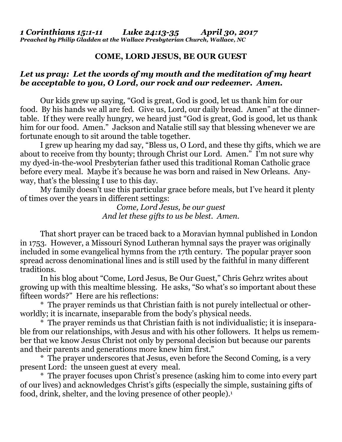## **COME, LORD JESUS, BE OUR GUEST**

## *Let us pray: Let the words of my mouth and the meditation of my heart be acceptable to you, O Lord, our rock and our redeemer. Amen.*

Our kids grew up saying, "God is great, God is good, let us thank him for our food. By his hands we all are fed. Give us, Lord, our daily bread. Amen" at the dinnertable. If they were really hungry, we heard just "God is great, God is good, let us thank him for our food. Amen." Jackson and Natalie still say that blessing whenever we are fortunate enough to sit around the table together.

I grew up hearing my dad say, "Bless us, O Lord, and these thy gifts, which we are about to receive from thy bounty; through Christ our Lord. Amen." I'm not sure why my dyed-in-the-wool Presbyterian father used this traditional Roman Catholic grace before every meal. Maybe it's because he was born and raised in New Orleans. Anyway, that's the blessing I use to this day.

My family doesn't use this particular grace before meals, but I've heard it plenty of times over the years in different settings:

> *Come, Lord Jesus, be our guest And let these gifts to us be blest. Amen.*

That short prayer can be traced back to a Moravian hymnal published in London in 1753. However, a Missouri Synod Lutheran hymnal says the prayer was originally included in some evangelical hymns from the 17th century. The popular prayer soon spread across denominational lines and is still used by the faithful in many different traditions.

In his blog about "Come, Lord Jesus, Be Our Guest," Chris Gehrz writes about growing up with this mealtime blessing. He asks, "So what's so important about these fifteen words?" Here are his reflections:

\* The prayer reminds us that Christian faith is not purely intellectual or otherworldly; it is incarnate, inseparable from the body's physical needs.

\* The prayer reminds us that Christian faith is not individualistic; it is inseparable from our relationships, with Jesus and with his other followers. It helps us remember that we know Jesus Christ not only by personal decision but because our parents and their parents and generations more knew him first."

\* The prayer underscores that Jesus, even before the Second Coming, is a very present Lord: the unseen guest at every meal.

\* The prayer focuses upon Christ's presence (asking him to come into every part of our lives) and acknowledges Christ's gifts (especially the simple, sustaining gifts of food, drink, shelter, and the loving presence of other people).<sup>1</sup>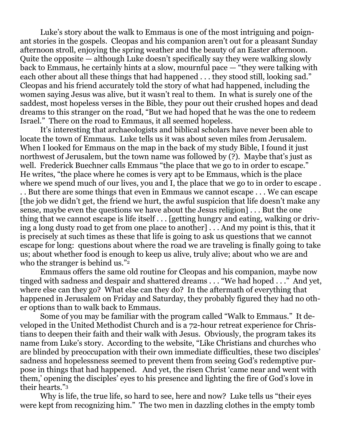Luke's story about the walk to Emmaus is one of the most intriguing and poignant stories in the gospels. Cleopas and his companion aren't out for a pleasant Sunday afternoon stroll, enjoying the spring weather and the beauty of an Easter afternoon. Quite the opposite — although Luke doesn't specifically say they were walking slowly back to Emmaus, he certainly hints at a slow, mournful pace — "they were talking with each other about all these things that had happened . . . they stood still, looking sad." Cleopas and his friend accurately told the story of what had happened, including the women saying Jesus was alive, but it wasn't real to them. In what is surely one of the saddest, most hopeless verses in the Bible, they pour out their crushed hopes and dead dreams to this stranger on the road, "But we had hoped that he was the one to redeem Israel." There on the road to Emmaus, it all seemed hopeless.

It's interesting that archaeologists and biblical scholars have never been able to locate the town of Emmaus. Luke tells us it was about seven miles from Jerusalem. When I looked for Emmaus on the map in the back of my study Bible, I found it just northwest of Jerusalem, but the town name was followed by (?). Maybe that's just as well. Frederick Buechner calls Emmaus "the place that we go to in order to escape." He writes, "the place where he comes is very apt to be Emmaus, which is the place where we spend much of our lives, you and I, the place that we go to in order to escape.

. . But there are some things that even in Emmaus we cannot escape . . . We can escape [the job we didn't get, the friend we hurt, the awful suspicion that life doesn't make any sense, maybe even the questions we have about the Jesus religion] . . . But the one thing that we cannot escape is life itself . . . [getting hungry and eating, walking or driving a long dusty road to get from one place to another] . . . And my point is this, that it is precisely at such times as these that life is going to ask us questions that we cannot escape for long: questions about where the road we are traveling is finally going to take us; about whether food is enough to keep us alive, truly alive; about who we are and who the stranger is behind us."<sup>2</sup>

Emmaus offers the same old routine for Cleopas and his companion, maybe now tinged with sadness and despair and shattered dreams . . . "We had hoped . . ." And yet, where else can they go? What else can they do? In the aftermath of everything that happened in Jerusalem on Friday and Saturday, they probably figured they had no other options than to walk back to Emmaus.

Some of you may be familiar with the program called "Walk to Emmaus." It developed in the United Methodist Church and is a 72-hour retreat experience for Christians to deepen their faith and their walk with Jesus. Obviously, the program takes its name from Luke's story. According to the website, "Like Christians and churches who are blinded by preoccupation with their own immediate difficulties, these two disciples' sadness and hopelessness seemed to prevent them from seeing God's redemptive purpose in things that had happened. And yet, the risen Christ 'came near and went with them,' opening the disciples' eyes to his presence and lighting the fire of God's love in their hearts."<sup>3</sup>

Why is life, the true life, so hard to see, here and now? Luke tells us "their eyes were kept from recognizing him." The two men in dazzling clothes in the empty tomb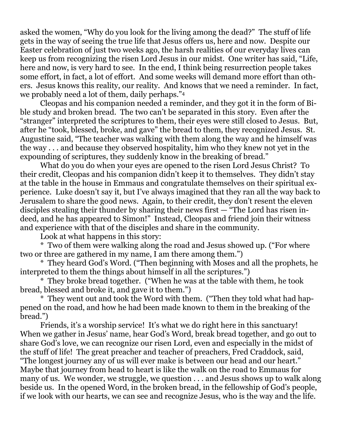asked the women, "Why do you look for the living among the dead?" The stuff of life gets in the way of seeing the true life that Jesus offers us, here and now. Despite our Easter celebration of just two weeks ago, the harsh realities of our everyday lives can keep us from recognizing the risen Lord Jesus in our midst. One writer has said, "Life, here and now, is very hard to see. In the end, I think being resurrection people takes some effort, in fact, a lot of effort. And some weeks will demand more effort than others. Jesus knows this reality, our reality. And knows that we need a reminder. In fact, we probably need a lot of them, daily perhaps."<sup>4</sup>

Cleopas and his companion needed a reminder, and they got it in the form of Bible study and broken bread. The two can't be separated in this story. Even after the "stranger" interpreted the scriptures to them, their eyes were still closed to Jesus. But, after he "took, blessed, broke, and gave" the bread to them, they recognized Jesus. St. Augustine said, "The teacher was walking with them along the way and he himself was the way . . . and because they observed hospitality, him who they knew not yet in the expounding of scriptures, they suddenly know in the breaking of bread."

What do you do when your eyes are opened to the risen Lord Jesus Christ? To their credit, Cleopas and his companion didn't keep it to themselves. They didn't stay at the table in the house in Emmaus and congratulate themselves on their spiritual experience. Luke doesn't say it, but I've always imagined that they ran all the way back to Jerusalem to share the good news. Again, to their credit, they don't resent the eleven disciples stealing their thunder by sharing their news first — "The Lord has risen indeed, and he has appeared to Simon!" Instead, Cleopas and friend join their witness and experience with that of the disciples and share in the community.

Look at what happens in this story:

\* Two of them were walking along the road and Jesus showed up. ("For where two or three are gathered in my name, I am there among them.")

\* They heard God's Word. ("Then beginning with Moses and all the prophets, he interpreted to them the things about himself in all the scriptures.")

\* They broke bread together. ("When he was at the table with them, he took bread, blessed and broke it, and gave it to them.")

\* They went out and took the Word with them. ("Then they told what had happened on the road, and how he had been made known to them in the breaking of the bread.")

Friends, it's a worship service! It's what we do right here in this sanctuary! When we gather in Jesus' name, hear God's Word, break bread together, and go out to share God's love, we can recognize our risen Lord, even and especially in the midst of the stuff of life! The great preacher and teacher of preachers, Fred Craddock, said, "The longest journey any of us will ever make is between our head and our heart." Maybe that journey from head to heart is like the walk on the road to Emmaus for many of us. We wonder, we struggle, we question . . . and Jesus shows up to walk along beside us. In the opened Word, in the broken bread, in the fellowship of God's people, if we look with our hearts, we can see and recognize Jesus, who is the way and the life.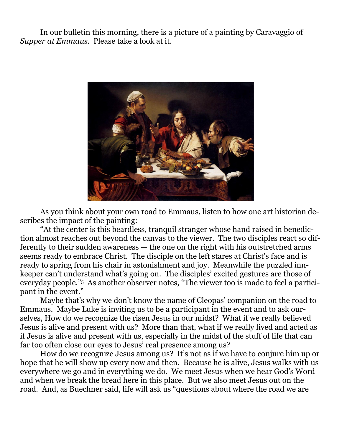In our bulletin this morning, there is a picture of a painting by Caravaggio of *Supper at Emmaus*. Please take a look at it.



As you think about your own road to Emmaus, listen to how one art historian describes the impact of the painting:

"At the center is this beardless, tranquil stranger whose hand raised in benediction almost reaches out beyond the canvas to the viewer. The two disciples react so differently to their sudden awareness — the one on the right with his outstretched arms seems ready to embrace Christ. The disciple on the left stares at Christ's face and is ready to spring from his chair in astonishment and joy. Meanwhile the puzzled innkeeper can't understand what's going on. The disciples' excited gestures are those of everyday people."5 As another observer notes, "The viewer too is made to feel a participant in the event."

Maybe that's why we don't know the name of Cleopas' companion on the road to Emmaus. Maybe Luke is inviting us to be a participant in the event and to ask ourselves, How do we recognize the risen Jesus in our midst? What if we really believed Jesus is alive and present with us? More than that, what if we really lived and acted as if Jesus is alive and present with us, especially in the midst of the stuff of life that can far too often close our eyes to Jesus' real presence among us?

How do we recognize Jesus among us? It's not as if we have to conjure him up or hope that he will show up every now and then. Because he is alive, Jesus walks with us everywhere we go and in everything we do. We meet Jesus when we hear God's Word and when we break the bread here in this place. But we also meet Jesus out on the road. And, as Buechner said, life will ask us "questions about where the road we are